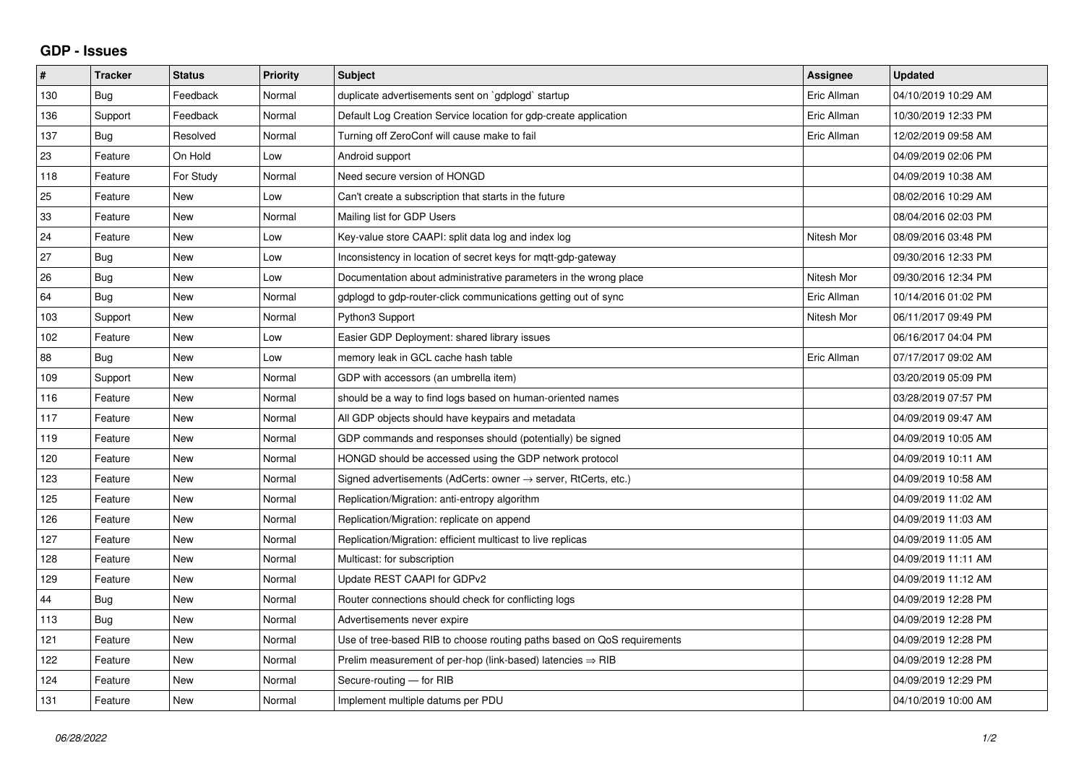## **GDP - Issues**

| $\pmb{\sharp}$ | <b>Tracker</b> | <b>Status</b> | Priority | <b>Subject</b>                                                             | Assignee    | <b>Updated</b>      |
|----------------|----------------|---------------|----------|----------------------------------------------------------------------------|-------------|---------------------|
| 130            | Bug            | Feedback      | Normal   | duplicate advertisements sent on `gdplogd` startup                         | Eric Allman | 04/10/2019 10:29 AM |
| 136            | Support        | Feedback      | Normal   | Default Log Creation Service location for gdp-create application           | Eric Allman | 10/30/2019 12:33 PM |
| 137            | Bug            | Resolved      | Normal   | Turning off ZeroConf will cause make to fail                               | Eric Allman | 12/02/2019 09:58 AM |
| 23             | Feature        | On Hold       | Low      | Android support                                                            |             | 04/09/2019 02:06 PM |
| 118            | Feature        | For Study     | Normal   | Need secure version of HONGD                                               |             | 04/09/2019 10:38 AM |
| 25             | Feature        | New           | Low      | Can't create a subscription that starts in the future                      |             | 08/02/2016 10:29 AM |
| 33             | Feature        | New           | Normal   | Mailing list for GDP Users                                                 |             | 08/04/2016 02:03 PM |
| 24             | Feature        | <b>New</b>    | Low      | Key-value store CAAPI: split data log and index log                        | Nitesh Mor  | 08/09/2016 03:48 PM |
| 27             | Bug            | New           | Low      | Inconsistency in location of secret keys for mqtt-gdp-gateway              |             | 09/30/2016 12:33 PM |
| 26             | Bug            | New           | Low      | Documentation about administrative parameters in the wrong place           | Nitesh Mor  | 09/30/2016 12:34 PM |
| 64             | <b>Bug</b>     | <b>New</b>    | Normal   | gdplogd to gdp-router-click communications getting out of sync             | Eric Allman | 10/14/2016 01:02 PM |
| 103            | Support        | <b>New</b>    | Normal   | Python3 Support                                                            | Nitesh Mor  | 06/11/2017 09:49 PM |
| 102            | Feature        | New           | Low      | Easier GDP Deployment: shared library issues                               |             | 06/16/2017 04:04 PM |
| 88             | Bug            | <b>New</b>    | Low      | memory leak in GCL cache hash table                                        | Eric Allman | 07/17/2017 09:02 AM |
| 109            | Support        | <b>New</b>    | Normal   | GDP with accessors (an umbrella item)                                      |             | 03/20/2019 05:09 PM |
| 116            | Feature        | <b>New</b>    | Normal   | should be a way to find logs based on human-oriented names                 |             | 03/28/2019 07:57 PM |
| 117            | Feature        | <b>New</b>    | Normal   | All GDP objects should have keypairs and metadata                          |             | 04/09/2019 09:47 AM |
| 119            | Feature        | New           | Normal   | GDP commands and responses should (potentially) be signed                  |             | 04/09/2019 10:05 AM |
| 120            | Feature        | <b>New</b>    | Normal   | HONGD should be accessed using the GDP network protocol                    |             | 04/09/2019 10:11 AM |
| 123            | Feature        | <b>New</b>    | Normal   | Signed advertisements (AdCerts: owner $\rightarrow$ server, RtCerts, etc.) |             | 04/09/2019 10:58 AM |
| 125            | Feature        | New           | Normal   | Replication/Migration: anti-entropy algorithm                              |             | 04/09/2019 11:02 AM |
| 126            | Feature        | <b>New</b>    | Normal   | Replication/Migration: replicate on append                                 |             | 04/09/2019 11:03 AM |
| 127            | Feature        | <b>New</b>    | Normal   | Replication/Migration: efficient multicast to live replicas                |             | 04/09/2019 11:05 AM |
| 128            | Feature        | New           | Normal   | Multicast: for subscription                                                |             | 04/09/2019 11:11 AM |
| 129            | Feature        | <b>New</b>    | Normal   | Update REST CAAPI for GDPv2                                                |             | 04/09/2019 11:12 AM |
| 44             | Bug            | <b>New</b>    | Normal   | Router connections should check for conflicting logs                       |             | 04/09/2019 12:28 PM |
| 113            | <b>Bug</b>     | <b>New</b>    | Normal   | Advertisements never expire                                                |             | 04/09/2019 12:28 PM |
| 121            | Feature        | New           | Normal   | Use of tree-based RIB to choose routing paths based on QoS requirements    |             | 04/09/2019 12:28 PM |
| 122            | Feature        | <b>New</b>    | Normal   | Prelim measurement of per-hop (link-based) latencies $\Rightarrow$ RIB     |             | 04/09/2019 12:28 PM |
| 124            | Feature        | New           | Normal   | Secure-routing - for RIB                                                   |             | 04/09/2019 12:29 PM |
| 131            | Feature        | New           | Normal   | Implement multiple datums per PDU                                          |             | 04/10/2019 10:00 AM |